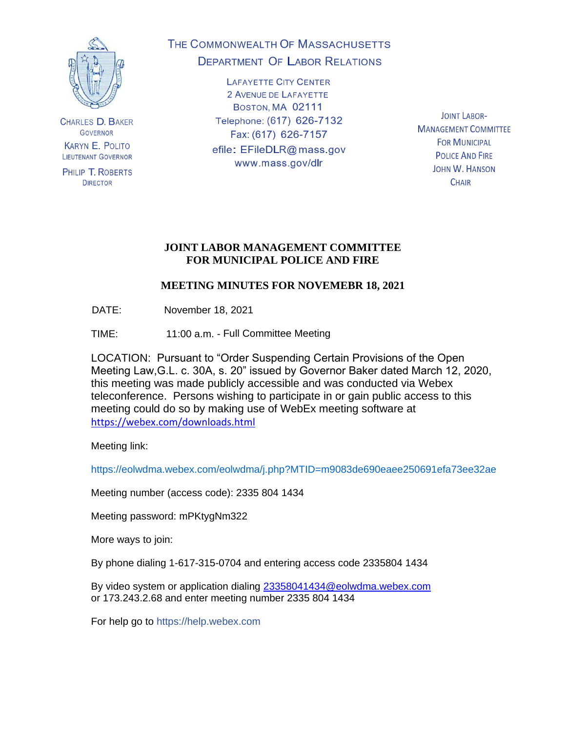

**CHARLES D. BAKER GOVERNOR KARYN E. POLITO LIEUTENANT GOVERNOR** 

PHILIP T. ROBERTS **DIRECTOR** 

# THE COMMONWEALTH OF MASSACHUSETTS **DEPARTMENT OF LABOR RELATIONS**

**LAFAYETTE CITY CENTER** 2 AVENUE DE LAFAYETTE BOSTON, MA 02111 Telephone: (617) 626-7132 Fax: (617) 626-7157 efile: EFileDLR@mass.gov www.mass.gov/dlr

**JOINT LABOR-MANAGEMENT COMMITTEE FOR MUNICIPAL POLICE AND FIRE JOHN W. HANSON CHAIR** 

### **JOINT LABOR MANAGEMENT COMMITTEE FOR MUNICIPAL POLICE AND FIRE**

# **MEETING MINUTES FOR NOVEMEBR 18, 2021**

DATE: November 18, 2021

TIME: 11:00 a.m. - Full Committee Meeting

LOCATION: Pursuant to "Order Suspending Certain Provisions of the Open Meeting Law,G.L. c. 30A, s. 20" issued by Governor Baker dated March 12, 2020, this meeting was made publicly accessible and was conducted via Webex teleconference. Persons wishing to participate in or gain public access to this meeting could do so by making use of WebEx meeting software at <https://webex.com/downloads.html>

Meeting link:

https://eolwdma.webex.com/eolwdma/j.php?MTID=m9083de690eaee250691efa73ee32ae

Meeting number (access code): 2335 804 1434

Meeting password: mPKtygNm322

More ways to join:

By phone dialing 1-617-315-0704 and entering access code 2335804 1434

By video system or application dialing [23358041434@eolwdma.webex.com](mailto:23358041434@eolwdma.webex.com) or 173.243.2.68 and enter meeting number 2335 804 1434

For help go to https://help.webex.com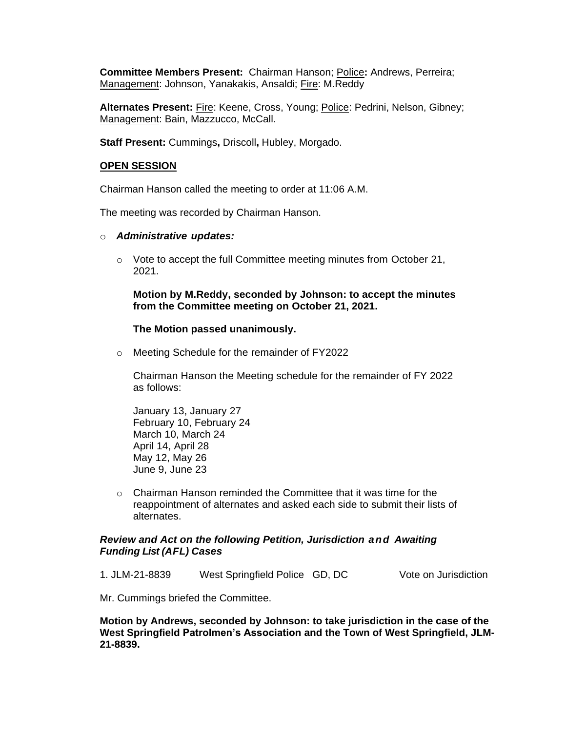**Committee Members Present:** Chairman Hanson; Police**:** Andrews, Perreira; Management: Johnson, Yanakakis, Ansaldi; Fire: M.Reddy

**Alternates Present:** Fire: Keene, Cross, Young; Police: Pedrini, Nelson, Gibney; Management: Bain, Mazzucco, McCall.

**Staff Present:** Cummings**,** Driscoll**,** Hubley, Morgado.

#### **OPEN SESSION**

Chairman Hanson called the meeting to order at 11:06 A.M.

The meeting was recorded by Chairman Hanson.

#### o *Administrative updates:*

o Vote to accept the full Committee meeting minutes from October 21, 2021.

**Motion by M.Reddy, seconded by Johnson: to accept the minutes from the Committee meeting on October 21, 2021.**

#### **The Motion passed unanimously.**

o Meeting Schedule for the remainder of FY2022

Chairman Hanson the Meeting schedule for the remainder of FY 2022 as follows:

January 13, January 27 February 10, February 24 March 10, March 24 April 14, April 28 May 12, May 26 June 9, June 23

o Chairman Hanson reminded the Committee that it was time for the reappointment of alternates and asked each side to submit their lists of alternates.

#### *Review and Act on the following Petition, Jurisdiction and Awaiting Funding List (AFL) Cases*

1. JLM-21-8839 West Springfield Police GD, DC Vote on Jurisdiction

Mr. Cummings briefed the Committee.

**Motion by Andrews, seconded by Johnson: to take jurisdiction in the case of the West Springfield Patrolmen's Association and the Town of West Springfield, JLM-21-8839.**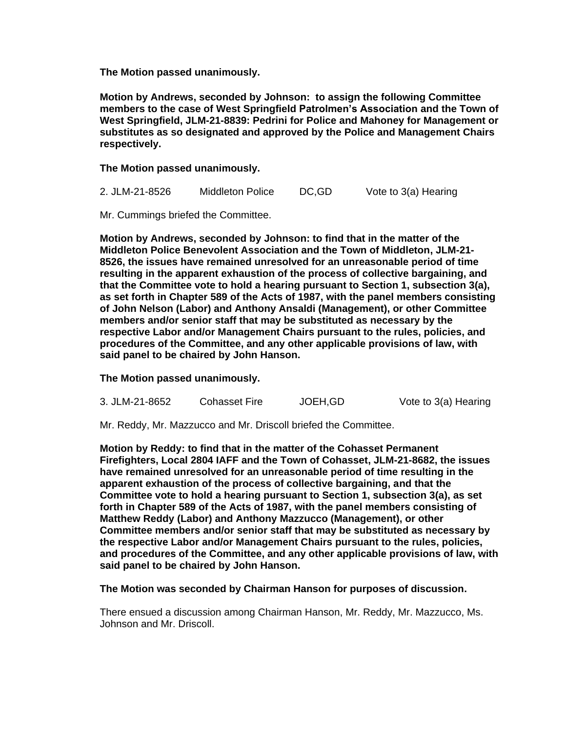**The Motion passed unanimously.**

**Motion by Andrews, seconded by Johnson: to assign the following Committee members to the case of West Springfield Patrolmen's Association and the Town of West Springfield, JLM-21-8839: Pedrini for Police and Mahoney for Management or substitutes as so designated and approved by the Police and Management Chairs respectively.**

**The Motion passed unanimously.**

2. JLM-21-8526 Middleton Police DC,GD Vote to 3(a) Hearing

Mr. Cummings briefed the Committee.

**Motion by Andrews, seconded by Johnson: to find that in the matter of the Middleton Police Benevolent Association and the Town of Middleton, JLM-21- 8526, the issues have remained unresolved for an unreasonable period of time resulting in the apparent exhaustion of the process of collective bargaining, and that the Committee vote to hold a hearing pursuant to Section 1, subsection 3(a), as set forth in Chapter 589 of the Acts of 1987, with the panel members consisting of John Nelson (Labor) and Anthony Ansaldi (Management), or other Committee members and/or senior staff that may be substituted as necessary by the respective Labor and/or Management Chairs pursuant to the rules, policies, and procedures of the Committee, and any other applicable provisions of law, with said panel to be chaired by John Hanson.**

**The Motion passed unanimously.**

| 3. JLM-21-8652 | <b>Cohasset Fire</b> | JOEH, GD | Vote to 3(a) Hearing |
|----------------|----------------------|----------|----------------------|
|----------------|----------------------|----------|----------------------|

Mr. Reddy, Mr. Mazzucco and Mr. Driscoll briefed the Committee.

**Motion by Reddy: to find that in the matter of the Cohasset Permanent Firefighters, Local 2804 IAFF and the Town of Cohasset, JLM-21-8682, the issues have remained unresolved for an unreasonable period of time resulting in the apparent exhaustion of the process of collective bargaining, and that the Committee vote to hold a hearing pursuant to Section 1, subsection 3(a), as set forth in Chapter 589 of the Acts of 1987, with the panel members consisting of Matthew Reddy (Labor) and Anthony Mazzucco (Management), or other Committee members and/or senior staff that may be substituted as necessary by the respective Labor and/or Management Chairs pursuant to the rules, policies, and procedures of the Committee, and any other applicable provisions of law, with said panel to be chaired by John Hanson.**

**The Motion was seconded by Chairman Hanson for purposes of discussion.**

There ensued a discussion among Chairman Hanson, Mr. Reddy, Mr. Mazzucco, Ms. Johnson and Mr. Driscoll.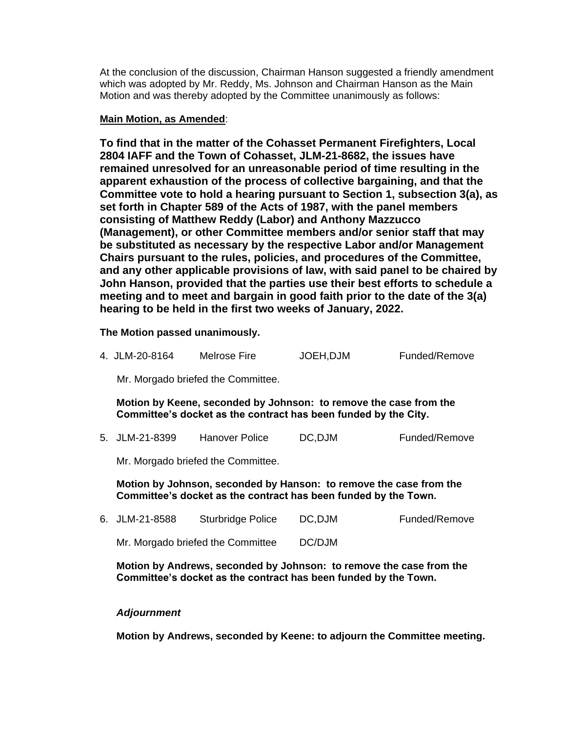At the conclusion of the discussion, Chairman Hanson suggested a friendly amendment which was adopted by Mr. Reddy, Ms. Johnson and Chairman Hanson as the Main Motion and was thereby adopted by the Committee unanimously as follows:

### **Main Motion, as Amended**:

**To find that in the matter of the Cohasset Permanent Firefighters, Local 2804 IAFF and the Town of Cohasset, JLM-21-8682, the issues have remained unresolved for an unreasonable period of time resulting in the apparent exhaustion of the process of collective bargaining, and that the Committee vote to hold a hearing pursuant to Section 1, subsection 3(a), as set forth in Chapter 589 of the Acts of 1987, with the panel members consisting of Matthew Reddy (Labor) and Anthony Mazzucco (Management), or other Committee members and/or senior staff that may be substituted as necessary by the respective Labor and/or Management Chairs pursuant to the rules, policies, and procedures of the Committee, and any other applicable provisions of law, with said panel to be chaired by John Hanson, provided that the parties use their best efforts to schedule a meeting and to meet and bargain in good faith prior to the date of the 3(a) hearing to be held in the first two weeks of January, 2022.**

**The Motion passed unanimously.**

4. JLM-20-8164 Melrose Fire JOEH,DJM Funded/Remove

Mr. Morgado briefed the Committee.

**Motion by Keene, seconded by Johnson: to remove the case from the Committee's docket as the contract has been funded by the City.**

5. JLM-21-8399 Hanover Police DC,DJM Funded/Remove

Mr. Morgado briefed the Committee.

**Motion by Johnson, seconded by Hanson: to remove the case from the Committee's docket as the contract has been funded by the Town.**

6. JLM-21-8588 Sturbridge Police DC,DJM Funded/Remove Mr. Morgado briefed the Committee DC/DJM

**Motion by Andrews, seconded by Johnson: to remove the case from the Committee's docket as the contract has been funded by the Town.**

### *Adjournment*

**Motion by Andrews, seconded by Keene: to adjourn the Committee meeting.**